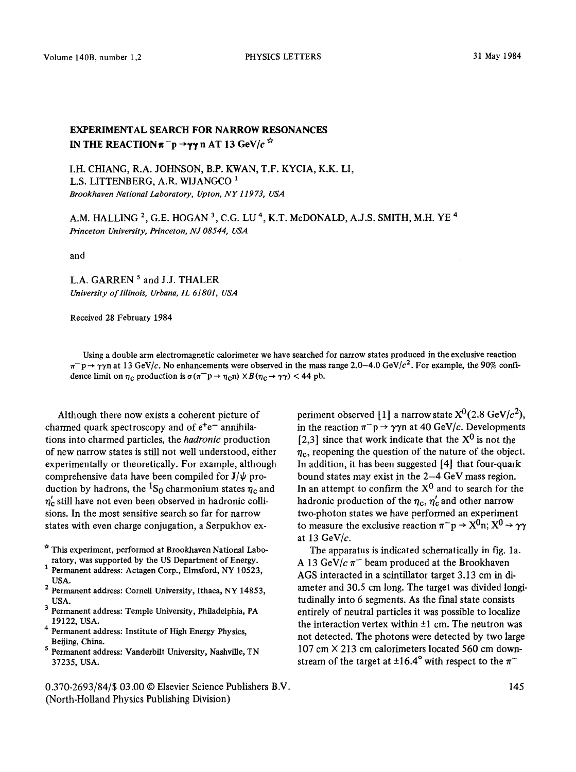Volume 140B, number 1,2 **PHYSICS LETTERS** 31 May 1984

## **EXPERIMENTAL SEARCH FOR NARROW RESONANCES**  IN THE REACTION  $\pi^-p \rightarrow \gamma\gamma$  n AT 13 GeV/c<sup> $\dot{\varphi}$ </sup>

I.H. CHIANG, R.A. JOHNSON, B.P. KWAN, T.F. KYCIA, K.K. LI, L.S. LITTENBERG, A.R. WIJANGCO<sup>1</sup> *Brookhaven National Laboratory, Upton, NY 11973, USA* 

A.M. HALLING<sup>2</sup>, G.E. HOGAN<sup>3</sup>, C.G. LU<sup>4</sup>, K.T. McDONALD, A.J.S. SMITH, M.H. YE<sup>4</sup> *Princeton University, Princeton, NJ 08544, USA* 

and

L.A. GARREN<sup>5</sup> and J.J. THALER *University of Illinois, Urbana, 1L 61801, USA* 

Received 28 February 1984

Using a double arm electromagnetic calorimeter we have searched for narrow states produced in the exclusive reaction  $\pi^-$ p  $\rightarrow \gamma\gamma$ n at 13 GeV/c. No enhancements were observed in the mass range 2.0–4.0 GeV/c<sup>2</sup>. For example, the 90% confidence limit on  $\eta_c$  production is  $\sigma (\pi^- p \to \eta_c n) \times B (\eta_c \to \gamma \gamma) < 44$  pb.

Although there now exists a coherent picture of charmed quark spectroscopy and of  $e^+e^-$  annihilations into charmed particles, the *hadronic* production of new narrow states is still not well understood, either experimentally or theoretically. For example, although comprehensive data have been compiled for  $J/\psi$  production by hadrons, the <sup>1</sup>S<sub>0</sub> charmonium states  $\eta_c$  and  $\eta_c'$  still have not even been observed in hadronic collisions. In the most sensitive search so far for narrow states with even charge conjugation, a Serpukhov ex-

- \* This experiment, performed at Brookhaven National Laboratory, was supported by the US Department of Energy.
- 1 Permanent address: Actagen Corp., Elmsford, NY 10523, USA.
- <sup>2</sup> Permanent address: Cornell University, Ithaca, NY 14853, USA.
- 3 Permanent address: Temple University, Philadelphia, PA 19122, USA.
- <sup>4</sup> Permanent address: Institute of High Energy Physics, Beijing, China.
- s Permanent address: Vanderbilt University, Nashville, TN 37235, USA.
- 0.370-2693/84/\$ 03.00 © Elsevier Science Publishers B.V. (North-Holland Physics Publishing Division)

periment observed [1] a narrow state  $X^0(2.8 \text{ GeV}/c^2)$ , in the reaction  $\pi^-p \to \gamma\gamma n$  at 40 GeV/c. Developments [2,3] since that work indicate that the  $X^0$  is not the  $\eta_c$ , reopening the question of the nature of the object. In addition, it has been suggested [4] that four-quark bound states may exist in the 2-4 GeV mass region. In an attempt to confirm the  $X^0$  and to search for the hadronic production of the  $\eta_c$ ,  $\eta_c'$  and other narrow two-photon states we have performed an experiment to measure the exclusive reaction  $\pi^-p \to X^0 n$ ;  $X^0 \to \gamma\gamma$ at 13 GeV/ $c$ .

The apparatus is indicated schematically in fig. 1a. A 13 GeV/ $c \pi^-$  beam produced at the Brookhaven AGS interacted in a scintillator target 3.13 cm in diameter and 30.5 cm long. The target was divided longitudinally into 6 segments. As the final state consists entirely of neutral particles it was possible to localize the interaction vertex within  $\pm 1$  cm. The neutron was not detected. The photons were detected by two large  $107 \text{ cm} \times 213 \text{ cm}$  calorimeters located 560 cm downstream of the target at  $\pm 16.4^\circ$  with respect to the  $\pi^-$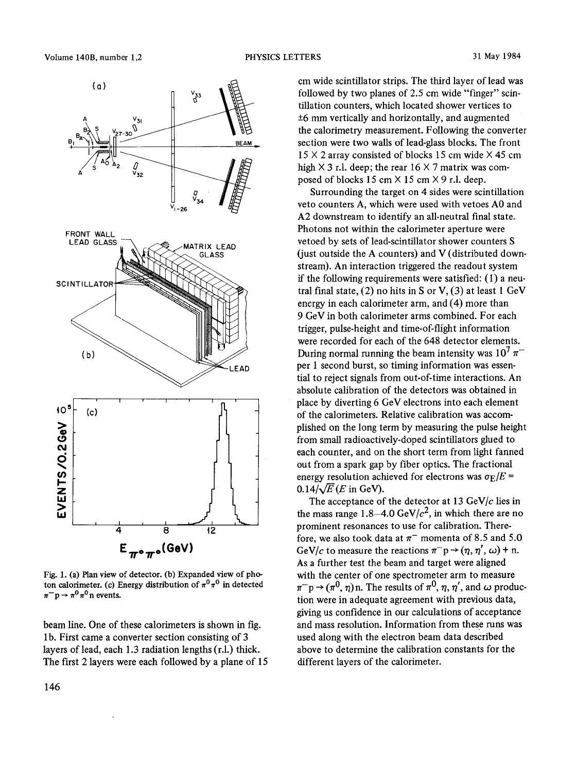

Fig. 1. (a) Plan view of detector. (b) Expanded view of photon calorimeter. (c) Energy distribution of  $\pi^0 \pi^0$  in detected  $\pi^- p \rightarrow \pi^0 \pi^0 n$  events.

beam line. One of these calorimeters is shown in fig. 1 b. First came a converter section consisting of 3 layers of lead, each 1.3 radiation lengths (r.l.) thick. The first 2 layers were each followed by a plane of 15 cm wide scintillator strips. The third layer of lead was followed by two planes of 2.5 cm wide "finger" scintillation counters, which located shower vertices to  $±6$  mm vertically and horizontally, and augmented the calorimetry measurement. Following the converter section were two walls of lead-glass blocks. The front  $15 \times 2$  array consisted of blocks 15 cm wide  $\times$  45 cm high  $\times$  3 r.l. deep; the rear 16  $\times$  7 matrix was composed of blocks 15 cm  $\times$  15 cm  $\times$  9 r.l. deep.

Surrounding the target on 4 sides were scintillation veto counters A, which were used with vetoes A0 and A2 downstream to identify an all-neutral final state. Photons not within the calorimeter aperture were vetoed by sets of lead-scintillator shower counters S (just outside the A counters) and V (distributed downstream). An interaction triggered the readout system if the following requirements were satisfied: (I) a neutral final state,  $(2)$  no hits in S or V,  $(3)$  at least 1 GeV energy in each calorimeter arm, and (4) more than 9 GeV in both calorimeter arms combined. For each trigger, pulse-height and time-of-flight information were recorded for each of the 648 detector elements. During normal running the beam intensity was  $10^7 \pi^$ per 1 second burst, so timing information was essential to reject signals from out-of-time interactions. An absolute calibration of the detectors was obtained in place by diverting 6 GeV electrons into each element of the calorimeters. Relative calibration was accomplished on the long term by measuring the pulse height from small radioactively-doped scintillators glued to each counter, and on the short term from light fanned out from a spark gap by fiber optics. The fractional energy resolution achieved for electrons was  $\sigma_E/E =$  $0.14/\sqrt{E}$  (*E* in GeV).

The acceptance of the detector at 13 GeV/ $c$  lies in the mass range 1.8-4.0 GeV/ $c^2$ , in which there are no prominent resonances to use for calibration. Therefore, we also took data at  $\pi^-$  momenta of 8.5 and 5.0 GeV/c to measure the reactions  $\pi^- p \rightarrow (\eta, \eta', \omega) + n$ . As a further test the beam and target were aligned with the center of one spectrometer arm to measure  $\pi^- p \rightarrow (\pi^0, \eta)$ n. The results of  $\pi^0$ ,  $\eta$ ,  $\eta'$ , and  $\omega$  production were in adequate agreement with previous data, giving us confidence in our calculations of acceptance and mass resolution. Information from these runs was used along with the electron beam data described above to determine the calibration constants for the different layers of the calorimeter.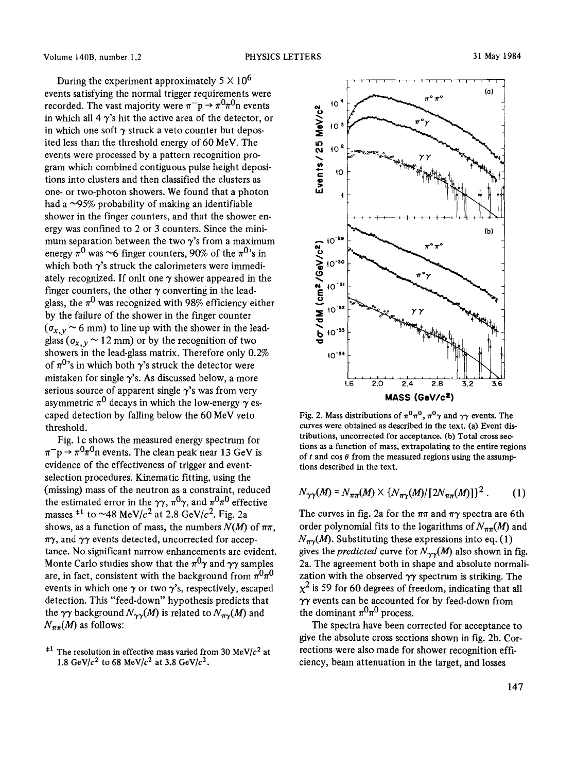During the experiment approximately  $5 \times 10^6$ events satisfying the normal trigger requirements were recorded. The vast majority were  $\pi^- p \rightarrow \pi^0 \pi^0 n$  events in which all 4  $\gamma$ 's hit the active area of the detector, or in which one soft  $\gamma$  struck a veto counter but deposited less than the threshold energy of 60 MeV. The events were processed by a pattern recognition program which combined contiguous pulse height depositions into clusters and then classified the clusters as one- or two-photon showers. We found that a photon had a  $\sim$ 95% probability of making an identifiable shower in the finger counters, and that the shower energy was confined to 2 or 3 counters. Since the minimum separation between the two  $\gamma$ 's from a maximum energy  $\pi^0$  was ~6 finger counters, 90% of the  $\pi^0$ 's in which both  $\gamma$ 's struck the calorimeters were immediately recognized. If onlt one  $\gamma$  shower appeared in the finger counters, the other  $\gamma$  converting in the leadglass, the  $\pi^0$  was recognized with 98% efficiency either by the failure of the shower in the finger counter  $(\sigma_{x,y} \sim 6 \text{ mm})$  to line up with the shower in the leadglass  $(\sigma_{x,y} \sim 12 \text{ mm})$  or by the recognition of two showers in the lead-glass matrix. Therefore only 0.2% of  $\pi^{0}$ 's in which both  $\gamma$ 's struck the detector were mistaken for single  $\gamma$ 's. As discussed below, a more serious source of apparent single  $\gamma$ 's was from very asymmetric  $\pi^0$  decays in which the low-energy  $\gamma$  escaped detection by falling below the 60 MeV veto threshold.

Fig. 1c shows the measured energy spectrum for  $\pi^-$ p  $\rightarrow \pi^0 \pi^0$ n events. The clean peak near 13 GeV is evidence of the effectiveness of trigger and eventselection procedures. Kinematic fitting, using the (missing) mass of the neutron as a constraint, reduced the estimated error in the  $\gamma\gamma$ ,  $\pi^0\gamma$ , and  $\pi^0\pi^0$  effective masses  $*1$  to ~48 MeV/ $c<sup>2</sup>$  at 2.8 GeV/ $c<sup>2</sup>$ . Fig. 2a shows, as a function of mass, the numbers  $N(M)$  of  $\pi\pi$ ,  $\pi\gamma$ , and  $\gamma\gamma$  events detected, uncorrected for acceptance. No significant narrow enhancements are evident. Monte Carlo studies show that the  $\pi^0\gamma$  and  $\gamma\gamma$  samples are, in fact, consistent with the background from  $\pi^0\pi^0$ events in which one  $\gamma$  or two  $\gamma$ 's, respectively, escaped detection. This "feed-down" hypothesis predicts that the  $\gamma\gamma$  background  $N_{\gamma\gamma}(M)$  is related to  $N_{\pi\gamma}(M)$  and  $N_{\pi\pi}(M)$  as follows:



Fig. 2. Mass distributions of  $\pi^0 \pi^0$ ,  $\pi^0 \gamma$  and  $\gamma \gamma$  events. The curves were obtained as described in the text. (a) Event distributions, uncorrected for acceptance. (b) Total cross sections as a function of mass, extrapolating to the entire regions of t and  $\cos \theta$  from the measured regions using the assumptions described in the text.

$$
N_{\gamma\gamma}(M) = N_{\pi\pi}(M) \times \{N_{\pi\gamma}(M) / [2N_{\pi\pi}(M)]\}^{2}.
$$
 (1)

The curves in fig. 2a for the  $\pi\pi$  and  $\pi\gamma$  spectra are 6th order polynomial fits to the logarithms of  $N_{\pi\pi}(M)$  and  $N_{\pi\gamma}(M)$ . Substituting these expressions into eq. (1) gives the *predicted* curve for  $N_{\gamma\gamma}(M)$  also shown in fig. 2a. The agreement both in shape and absolute normalization with the observed  $\gamma\gamma$  spectrum is striking. The  $\chi^2$  is 59 for 60 degrees of freedom, indicating that all  $\gamma\gamma$  events can be accounted for by feed-down from the dominant  $\pi^0 \pi^0$  process.

The spectra have been corrected for acceptance to give the absolute cross sections shown in fig. 2b. Corrections were also made for shower recognition efficiency, beam attenuation in the target, and losses

<sup>&</sup>lt;sup> $\pm 1$ </sup> The resolution in effective mass varied from 30 MeV/ $c<sup>2</sup>$  at 1.8 GeV/ $c^2$  to 68 MeV/ $c^2$  at 3.8 GeV/ $c^2$ .